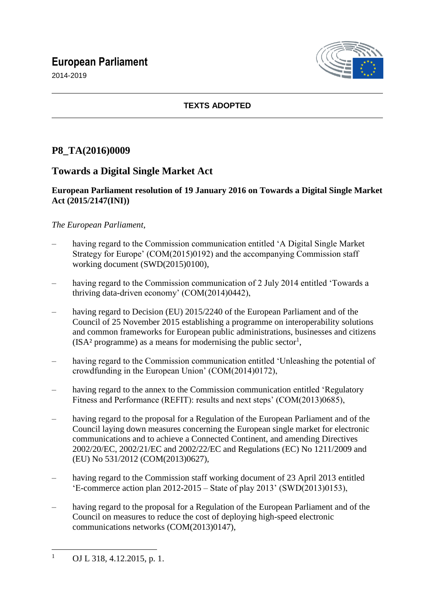# **European Parliament**

2014-2019



## **TEXTS ADOPTED**

# **P8\_TA(2016)0009**

# **Towards a Digital Single Market Act**

## **European Parliament resolution of 19 January 2016 on Towards a Digital Single Market Act (2015/2147(INI))**

## *The European Parliament*,

- having regard to the Commission communication entitled 'A Digital Single Market Strategy for Europe' (COM(2015)0192) and the accompanying Commission staff working document (SWD(2015)0100),
- having regard to the Commission communication of 2 July 2014 entitled 'Towards a thriving data-driven economy' (COM(2014)0442),
- having regard to Decision (EU) 2015/2240 of the European Parliament and of the Council of 25 November 2015 establishing a programme on interoperability solutions and common frameworks for European public administrations, businesses and citizens  $(ISA<sup>2</sup> programme)$  as a means for modernising the public sector<sup>1</sup>,
- having regard to the Commission communication entitled 'Unleashing the potential of crowdfunding in the European Union' (COM(2014)0172),
- having regard to the annex to the Commission communication entitled 'Regulatory Fitness and Performance (REFIT): results and next steps' (COM(2013)0685),
- having regard to the proposal for a Regulation of the European Parliament and of the Council laying down measures concerning the European single market for electronic communications and to achieve a Connected Continent, and amending Directives 2002/20/EC, 2002/21/EC and 2002/22/EC and Regulations (EC) No 1211/2009 and (EU) No 531/2012 (COM(2013)0627),
- having regard to the Commission staff working document of 23 April 2013 entitled 'E-commerce action plan 2012-2015 – State of play 2013' (SWD(2013)0153),
- having regard to the proposal for a Regulation of the European Parliament and of the Council on measures to reduce the cost of deploying high-speed electronic communications networks (COM(2013)0147),

 $\overline{1}$ OJ L 318, 4.12.2015, p. 1.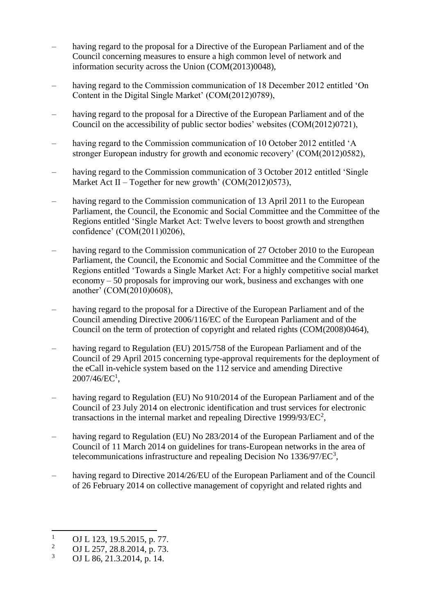- having regard to the proposal for a Directive of the European Parliament and of the Council concerning measures to ensure a high common level of network and information security across the Union (COM(2013)0048),
- having regard to the Commission communication of 18 December 2012 entitled 'On Content in the Digital Single Market' (COM(2012)0789),
- having regard to the proposal for a Directive of the European Parliament and of the Council on the accessibility of public sector bodies' websites (COM(2012)0721),
- having regard to the Commission communication of 10 October 2012 entitled 'A stronger European industry for growth and economic recovery' (COM(2012)0582),
- having regard to the Commission communication of 3 October 2012 entitled 'Single' Market Act II – Together for new growth' (COM(2012)0573),
- having regard to the Commission communication of 13 April 2011 to the European Parliament, the Council, the Economic and Social Committee and the Committee of the Regions entitled 'Single Market Act: Twelve levers to boost growth and strengthen confidence' (COM(2011)0206),
- having regard to the Commission communication of 27 October 2010 to the European Parliament, the Council, the Economic and Social Committee and the Committee of the Regions entitled 'Towards a Single Market Act: For a highly competitive social market economy – 50 proposals for improving our work, business and exchanges with one another' (COM(2010)0608),
- having regard to the proposal for a Directive of the European Parliament and of the Council amending Directive 2006/116/EC of the European Parliament and of the Council on the term of protection of copyright and related rights (COM(2008)0464),
- having regard to Regulation (EU) 2015/758 of the European Parliament and of the Council of 29 April 2015 concerning type-approval requirements for the deployment of the eCall in-vehicle system based on the 112 service and amending Directive  $2007/46$ /EC<sup>1</sup>,
- having regard to Regulation (EU) No 910/2014 of the European Parliament and of the Council of 23 July 2014 on electronic identification and trust services for electronic transactions in the internal market and repealing Directive 1999/93/ $\text{EC}^2$ ,
- having regard to Regulation (EU) No 283/2014 of the European Parliament and of the Council of 11 March 2014 on guidelines for trans-European networks in the area of telecommunications infrastructure and repealing Decision No  $1336/97/EC^3$ ,
- having regard to Directive 2014/26/EU of the European Parliament and of the Council of 26 February 2014 on collective management of copyright and related rights and

 $\overline{1}$  $\frac{1}{2}$  OJ L 123, 19.5.2015, p. 77.

<sup>&</sup>lt;sup>2</sup> OJ L 257, 28.8.2014, p. 73.

<sup>3</sup> OJ L 86, 21.3.2014, p. 14.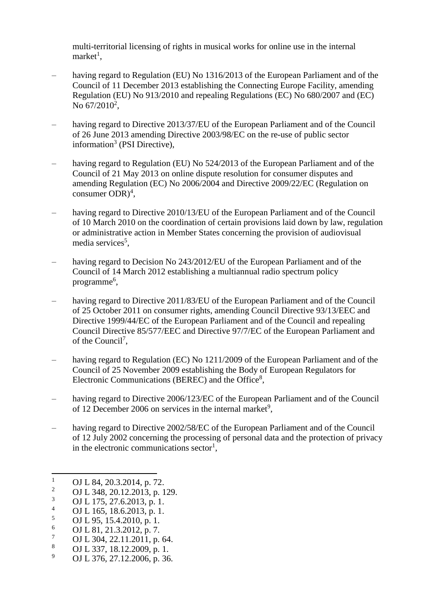multi-territorial licensing of rights in musical works for online use in the internal  $market<sup>1</sup>$ ,

- having regard to Regulation (EU) No 1316/2013 of the European Parliament and of the Council of 11 December 2013 establishing the Connecting Europe Facility, amending Regulation (EU) No 913/2010 and repealing Regulations (EC) No 680/2007 and (EC) No  $67/2010^2$ ,
- having regard to Directive 2013/37/EU of the European Parliament and of the Council of 26 June 2013 amending Directive 2003/98/EC on the re-use of public sector information<sup>3</sup> (PSI Directive),
- having regard to Regulation (EU) No 524/2013 of the European Parliament and of the Council of 21 May 2013 on online dispute resolution for consumer disputes and amending Regulation (EC) No 2006/2004 and Directive 2009/22/EC (Regulation on consumer  $ODR)^4$ ,
- having regard to Directive 2010/13/EU of the European Parliament and of the Council of 10 March 2010 on the coordination of certain provisions laid down by law, regulation or administrative action in Member States concerning the provision of audiovisual media services<sup>5</sup>,
- having regard to Decision No 243/2012/EU of the European Parliament and of the Council of 14 March 2012 establishing a multiannual radio spectrum policy programme<sup>6</sup>,
- having regard to Directive 2011/83/EU of the European Parliament and of the Council of 25 October 2011 on consumer rights, amending Council Directive 93/13/EEC and Directive 1999/44/EC of the European Parliament and of the Council and repealing Council Directive 85/577/EEC and Directive 97/7/EC of the European Parliament and of the Council<sup>7</sup>,
- having regard to Regulation (EC) No 1211/2009 of the European Parliament and of the Council of 25 November 2009 establishing the Body of European Regulators for Electronic Communications (BEREC) and the Office<sup>8</sup>,
- having regard to Directive 2006/123/EC of the European Parliament and of the Council of 12 December 2006 on services in the internal market<sup>9</sup>,
- having regard to Directive 2002/58/EC of the European Parliament and of the Council of 12 July 2002 concerning the processing of personal data and the protection of privacy in the electronic communications sector<sup>1</sup>,

 $\frac{5}{6}$  OJ L 95, 15.4.2010, p. 1.

- <sup>8</sup> OJ L 337, 18.12.2009, p. 1.<br><sup>9</sup> OJ L 376, 27, 12, 2006, p. 36
- <sup>9</sup> OJ L 376, 27.12.2006, p. 36.

 $\overline{1}$  $\frac{1}{2}$  OJ L 84, 20.3.2014, p. 72.

<sup>&</sup>lt;sup>2</sup> OJ L 348, 20.12.2013, p. 129.<br>
OJ L 175, 27.6.2013, p. 1

 $\frac{3}{4}$  OJ L 175, 27.6.2013, p. 1.

<sup>&</sup>lt;sup>4</sup> OJ L 165, 18.6.2013, p. 1.<br>5 OJ L 95, 15, 4, 2010, p. 1.

 $^{6}$  OJ L 81, 21.3.2012, p. 7.<br>  $^{7}$  OJ L 304, 22, 11, 2011, p.

 $\frac{7}{8}$  OJ L 304, 22.11.2011, p. 64.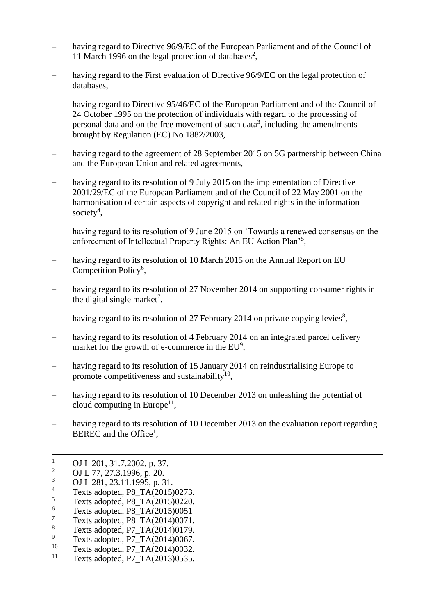- having regard to Directive 96/9/EC of the European Parliament and of the Council of 11 March 1996 on the legal protection of databases<sup>2</sup>,
- having regard to the First evaluation of Directive 96/9/EC on the legal protection of databases,
- having regard to Directive 95/46/EC of the European Parliament and of the Council of 24 October 1995 on the protection of individuals with regard to the processing of personal data and on the free movement of such data<sup>3</sup>, including the amendments brought by Regulation (EC) No 1882/2003,
- having regard to the agreement of 28 September 2015 on 5G partnership between China and the European Union and related agreements,
- having regard to its resolution of 9 July 2015 on the implementation of Directive 2001/29/EC of the European Parliament and of the Council of 22 May 2001 on the harmonisation of certain aspects of copyright and related rights in the information society<sup>4</sup>,
- having regard to its resolution of 9 June 2015 on 'Towards a renewed consensus on the enforcement of Intellectual Property Rights: An EU Action Plan'<sup>5</sup>,
- having regard to its resolution of 10 March 2015 on the Annual Report on EU Competition Policy<sup>6</sup>,
- having regard to its resolution of 27 November 2014 on supporting consumer rights in the digital single market<sup>7</sup>,
- having regard to its resolution of 27 February 2014 on private copying levies<sup>8</sup>,
- having regard to its resolution of 4 February 2014 on an integrated parcel delivery market for the growth of e-commerce in the  $EU^9$ ,
- having regard to its resolution of 15 January 2014 on reindustrialising Europe to promote competitiveness and sustainability $^{10}$ ,
- having regard to its resolution of 10 December 2013 on unleashing the potential of cloud computing in Europe<sup>11</sup>,
- having regard to its resolution of 10 December 2013 on the evaluation report regarding BEREC and the Office<sup>1</sup>,

 $\mathbf{1}$  $\frac{1}{2}$  OJ L 201, 31.7.2002, p. 37.

<sup>&</sup>lt;sup>2</sup> OJ L 77, 27.3.1996, p. 20.<br><sup>3</sup> OJ L 281, 22, 11, 1005, p. 2

 $\frac{3}{4}$  OJ L 281, 23.11.1995, p. 31.

<sup>&</sup>lt;sup>4</sup> Texts adopted, P8\_TA(2015)0273.<br>
Taxts adopted, P8\_TA(2015)0220.

 $5$  Texts adopted, P8\_TA(2015)0220.

 $\frac{6}{7}$  Texts adopted, P8\_TA(2015)0051

 $\frac{7}{8}$  Texts adopted, P8\_TA(2014)0071.

 $\frac{8}{9}$  Texts adopted, P7\_TA(2014)0179.

 $^{9}$  Texts adopted, P7\_TA(2014)0067.<br><sup>10</sup> Texts adopted, P7\_TA(2014)0032.

<sup>&</sup>lt;sup>10</sup> Texts adopted, P7\_TA(2014)0032.<br><sup>11</sup> Texts adopted, P7\_TA(2013)0535.

Texts adopted, P7\_TA(2013)0535.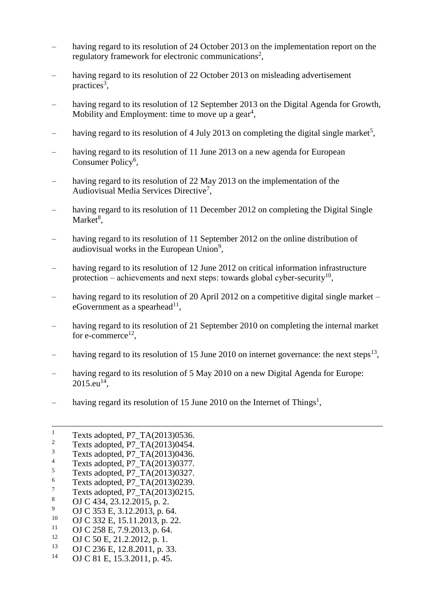- having regard to its resolution of 24 October 2013 on the implementation report on the regulatory framework for electronic communications<sup>2</sup>,
- having regard to its resolution of 22 October 2013 on misleading advertisement practices<sup>3</sup>,
- having regard to its resolution of 12 September 2013 on the Digital Agenda for Growth, Mobility and Employment: time to move up a gear<sup>4</sup>,
- having regard to its resolution of 4 July 2013 on completing the digital single market<sup>5</sup>,
- having regard to its resolution of 11 June 2013 on a new agenda for European Consumer Policy<sup>6</sup>,
- having regard to its resolution of 22 May 2013 on the implementation of the Audiovisual Media Services Directive<sup>7</sup>,
- having regard to its resolution of 11 December 2012 on completing the Digital Single Market<sup>8</sup>,
- having regard to its resolution of 11 September 2012 on the online distribution of audiovisual works in the European Union<sup>9</sup>,
- having regard to its resolution of 12 June 2012 on critical information infrastructure protection – achievements and next steps: towards global cyber-security<sup>10</sup>,
- having regard to its resolution of 20 April 2012 on a competitive digital single market eGovernment as a spearhead $^{11}$ ,
- having regard to its resolution of 21 September 2010 on completing the internal market for e-commerce<sup>12</sup>,
- having regard to its resolution of 15 June 2010 on internet governance: the next steps<sup>13</sup>,
- having regard to its resolution of 5 May 2010 on a new Digital Agenda for Europe:  $2015 \text{.} \text{eu}^{14}$ ,
- having regard its resolution of 15 June 2010 on the Internet of Things<sup>1</sup>,

 $\overline{a}$ 

- <sup>11</sup> OJ C 258 E, 7.9.2013, p. 64.
- <sup>12</sup> OJ C 50 E, 21.2.2012, p. 1.<br><sup>13</sup> OJ C 236 E 12.8.2011, p. 3
- <sup>13</sup> OJ C 236 E, 12.8.2011, p. 33.
- OJ C 81 E, 15.3.2011, p. 45.

<sup>&</sup>lt;sup>1</sup> Texts adopted, P7\_TA(2013)0536.<br><sup>2</sup> Texts adopted, P7\_TA(2013)0454.

<sup>&</sup>lt;sup>2</sup> Texts adopted, P7\_TA(2013)0454.<br><sup>3</sup> Texts adopted, P7\_TA(2013)0426.

 $3 \text{ Texts adopted, P7\_TA}(2013)0436.$ 

 $^{4}$  Texts adopted, P7\_TA(2013)0377.

 $^{5}$  Texts adopted, P7\_TA(2013)0327.

 $\frac{6}{7}$  Texts adopted, P7\_TA(2013)0239.

 $\frac{7}{8}$  Texts adopted, P7\_TA(2013)0215.

<sup>&</sup>lt;sup>8</sup> OJ C 434, 23.12.2015, p. 2.<br><sup>9</sup> OJ C 252 E 2.12.2012, p. 6.

<sup>&</sup>lt;sup>9</sup> OJ C 353 E, 3.12.2013, p. 64.<br><sup>10</sup> OJ C 332 E 15 11 2013, p. 22

<sup>&</sup>lt;sup>10</sup> OJ C 332 E, 15.11.2013, p. 22.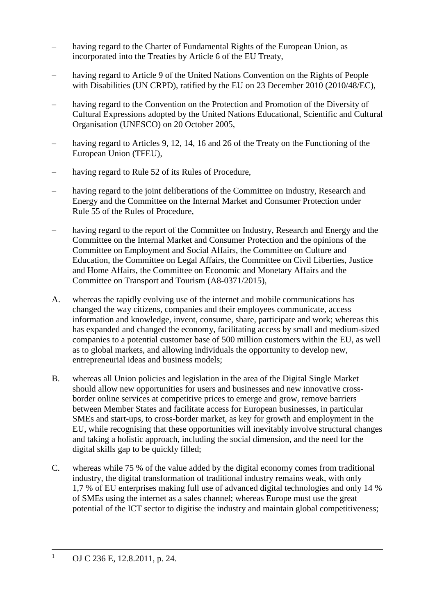- having regard to the Charter of Fundamental Rights of the European Union, as incorporated into the Treaties by Article 6 of the EU Treaty,
- having regard to Article 9 of the United Nations Convention on the Rights of People with Disabilities (UN CRPD), ratified by the EU on 23 December 2010 (2010/48/EC),
- having regard to the Convention on the Protection and Promotion of the Diversity of Cultural Expressions adopted by the United Nations Educational, Scientific and Cultural Organisation (UNESCO) on 20 October 2005,
- having regard to Articles 9, 12, 14, 16 and 26 of the Treaty on the Functioning of the European Union (TFEU),
- having regard to Rule 52 of its Rules of Procedure,
- having regard to the joint deliberations of the Committee on Industry, Research and Energy and the Committee on the Internal Market and Consumer Protection under Rule 55 of the Rules of Procedure,
- having regard to the report of the Committee on Industry, Research and Energy and the Committee on the Internal Market and Consumer Protection and the opinions of the Committee on Employment and Social Affairs, the Committee on Culture and Education, the Committee on Legal Affairs, the Committee on Civil Liberties, Justice and Home Affairs, the Committee on Economic and Monetary Affairs and the Committee on Transport and Tourism (A8-0371/2015),
- A. whereas the rapidly evolving use of the internet and mobile communications has changed the way citizens, companies and their employees communicate, access information and knowledge, invent, consume, share, participate and work; whereas this has expanded and changed the economy, facilitating access by small and medium-sized companies to a potential customer base of 500 million customers within the EU, as well as to global markets, and allowing individuals the opportunity to develop new, entrepreneurial ideas and business models;
- B. whereas all Union policies and legislation in the area of the Digital Single Market should allow new opportunities for users and businesses and new innovative crossborder online services at competitive prices to emerge and grow, remove barriers between Member States and facilitate access for European businesses, in particular SMEs and start-ups, to cross-border market, as key for growth and employment in the EU, while recognising that these opportunities will inevitably involve structural changes and taking a holistic approach, including the social dimension, and the need for the digital skills gap to be quickly filled;
- C. whereas while 75 % of the value added by the digital economy comes from traditional industry, the digital transformation of traditional industry remains weak, with only 1,7 % of EU enterprises making full use of advanced digital technologies and only 14 % of SMEs using the internet as a sales channel; whereas Europe must use the great potential of the ICT sector to digitise the industry and maintain global competitiveness;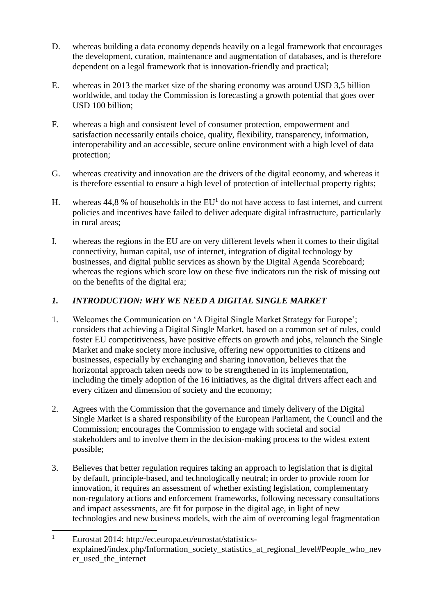- D. whereas building a data economy depends heavily on a legal framework that encourages the development, curation, maintenance and augmentation of databases, and is therefore dependent on a legal framework that is innovation-friendly and practical;
- E. whereas in 2013 the market size of the sharing economy was around USD 3,5 billion worldwide, and today the Commission is forecasting a growth potential that goes over USD 100 billion;
- F. whereas a high and consistent level of consumer protection, empowerment and satisfaction necessarily entails choice, quality, flexibility, transparency, information, interoperability and an accessible, secure online environment with a high level of data protection;
- G. whereas creativity and innovation are the drivers of the digital economy, and whereas it is therefore essential to ensure a high level of protection of intellectual property rights;
- H. whereas  $44,8\%$  of households in the EU<sup>1</sup> do not have access to fast internet, and current policies and incentives have failed to deliver adequate digital infrastructure, particularly in rural areas;
- I. whereas the regions in the EU are on very different levels when it comes to their digital connectivity, human capital, use of internet, integration of digital technology by businesses, and digital public services as shown by the Digital Agenda Scoreboard; whereas the regions which score low on these five indicators run the risk of missing out on the benefits of the digital era;

## *1. INTRODUCTION: WHY WE NEED A DIGITAL SINGLE MARKET*

- 1. Welcomes the Communication on 'A Digital Single Market Strategy for Europe'; considers that achieving a Digital Single Market, based on a common set of rules, could foster EU competitiveness, have positive effects on growth and jobs, relaunch the Single Market and make society more inclusive, offering new opportunities to citizens and businesses, especially by exchanging and sharing innovation, believes that the horizontal approach taken needs now to be strengthened in its implementation, including the timely adoption of the 16 initiatives, as the digital drivers affect each and every citizen and dimension of society and the economy;
- 2. Agrees with the Commission that the governance and timely delivery of the Digital Single Market is a shared responsibility of the European Parliament, the Council and the Commission; encourages the Commission to engage with societal and social stakeholders and to involve them in the decision-making process to the widest extent possible;
- 3. Believes that better regulation requires taking an approach to legislation that is digital by default, principle-based, and technologically neutral; in order to provide room for innovation, it requires an assessment of whether existing legislation, complementary non-regulatory actions and enforcement frameworks, following necessary consultations and impact assessments, are fit for purpose in the digital age, in light of new technologies and new business models, with the aim of overcoming legal fragmentation

 $\overline{1}$ <sup>1</sup> Eurostat 2014: http://ec.europa.eu/eurostat/statisticsexplained/index.php/Information\_society\_statistics\_at\_regional\_level#People\_who\_nev er\_used\_the\_internet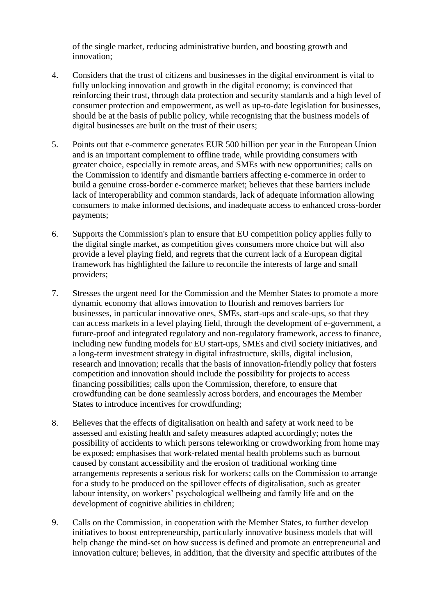of the single market, reducing administrative burden, and boosting growth and innovation;

- 4. Considers that the trust of citizens and businesses in the digital environment is vital to fully unlocking innovation and growth in the digital economy; is convinced that reinforcing their trust, through data protection and security standards and a high level of consumer protection and empowerment, as well as up-to-date legislation for businesses, should be at the basis of public policy, while recognising that the business models of digital businesses are built on the trust of their users;
- 5. Points out that e-commerce generates EUR 500 billion per year in the European Union and is an important complement to offline trade, while providing consumers with greater choice, especially in remote areas, and SMEs with new opportunities; calls on the Commission to identify and dismantle barriers affecting e-commerce in order to build a genuine cross-border e-commerce market; believes that these barriers include lack of interoperability and common standards, lack of adequate information allowing consumers to make informed decisions, and inadequate access to enhanced cross-border payments;
- 6. Supports the Commission's plan to ensure that EU competition policy applies fully to the digital single market, as competition gives consumers more choice but will also provide a level playing field, and regrets that the current lack of a European digital framework has highlighted the failure to reconcile the interests of large and small providers;
- 7. Stresses the urgent need for the Commission and the Member States to promote a more dynamic economy that allows innovation to flourish and removes barriers for businesses, in particular innovative ones, SMEs, start-ups and scale-ups, so that they can access markets in a level playing field, through the development of e-government, a future-proof and integrated regulatory and non-regulatory framework, access to finance, including new funding models for EU start-ups, SMEs and civil society initiatives, and a long-term investment strategy in digital infrastructure, skills, digital inclusion, research and innovation; recalls that the basis of innovation-friendly policy that fosters competition and innovation should include the possibility for projects to access financing possibilities; calls upon the Commission, therefore, to ensure that crowdfunding can be done seamlessly across borders, and encourages the Member States to introduce incentives for crowdfunding;
- 8. Believes that the effects of digitalisation on health and safety at work need to be assessed and existing health and safety measures adapted accordingly; notes the possibility of accidents to which persons teleworking or crowdworking from home may be exposed; emphasises that work-related mental health problems such as burnout caused by constant accessibility and the erosion of traditional working time arrangements represents a serious risk for workers; calls on the Commission to arrange for a study to be produced on the spillover effects of digitalisation, such as greater labour intensity, on workers' psychological wellbeing and family life and on the development of cognitive abilities in children;
- 9. Calls on the Commission, in cooperation with the Member States, to further develop initiatives to boost entrepreneurship, particularly innovative business models that will help change the mind-set on how success is defined and promote an entrepreneurial and innovation culture; believes, in addition, that the diversity and specific attributes of the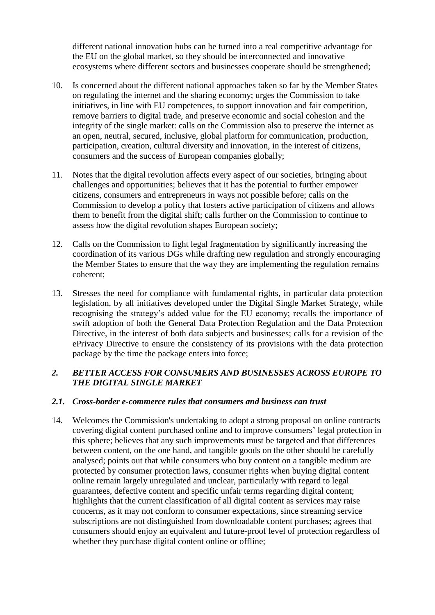different national innovation hubs can be turned into a real competitive advantage for the EU on the global market, so they should be interconnected and innovative ecosystems where different sectors and businesses cooperate should be strengthened;

- 10. Is concerned about the different national approaches taken so far by the Member States on regulating the internet and the sharing economy; urges the Commission to take initiatives, in line with EU competences, to support innovation and fair competition, remove barriers to digital trade, and preserve economic and social cohesion and the integrity of the single market: calls on the Commission also to preserve the internet as an open, neutral, secured, inclusive, global platform for communication, production, participation, creation, cultural diversity and innovation, in the interest of citizens, consumers and the success of European companies globally;
- 11. Notes that the digital revolution affects every aspect of our societies, bringing about challenges and opportunities; believes that it has the potential to further empower citizens, consumers and entrepreneurs in ways not possible before; calls on the Commission to develop a policy that fosters active participation of citizens and allows them to benefit from the digital shift; calls further on the Commission to continue to assess how the digital revolution shapes European society;
- 12. Calls on the Commission to fight legal fragmentation by significantly increasing the coordination of its various DGs while drafting new regulation and strongly encouraging the Member States to ensure that the way they are implementing the regulation remains coherent;
- 13. Stresses the need for compliance with fundamental rights, in particular data protection legislation, by all initiatives developed under the Digital Single Market Strategy, while recognising the strategy's added value for the EU economy; recalls the importance of swift adoption of both the General Data Protection Regulation and the Data Protection Directive, in the interest of both data subjects and businesses; calls for a revision of the ePrivacy Directive to ensure the consistency of its provisions with the data protection package by the time the package enters into force;

## *2. BETTER ACCESS FOR CONSUMERS AND BUSINESSES ACROSS EUROPE TO THE DIGITAL SINGLE MARKET*

#### *2.1. Cross-border e-commerce rules that consumers and business can trust*

14. Welcomes the Commission's undertaking to adopt a strong proposal on online contracts covering digital content purchased online and to improve consumers' legal protection in this sphere; believes that any such improvements must be targeted and that differences between content, on the one hand, and tangible goods on the other should be carefully analysed; points out that while consumers who buy content on a tangible medium are protected by consumer protection laws, consumer rights when buying digital content online remain largely unregulated and unclear, particularly with regard to legal guarantees, defective content and specific unfair terms regarding digital content; highlights that the current classification of all digital content as services may raise concerns, as it may not conform to consumer expectations, since streaming service subscriptions are not distinguished from downloadable content purchases; agrees that consumers should enjoy an equivalent and future-proof level of protection regardless of whether they purchase digital content online or offline;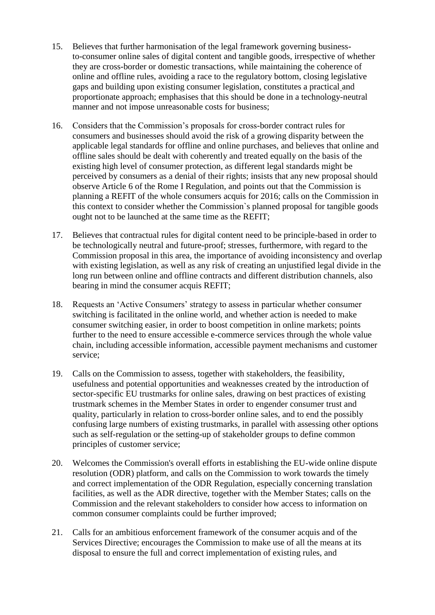- 15. Believes that further harmonisation of the legal framework governing businessto-consumer online sales of digital content and tangible goods, irrespective of whether they are cross-border or domestic transactions, while maintaining the coherence of online and offline rules, avoiding a race to the regulatory bottom, closing legislative gaps and building upon existing consumer legislation, constitutes a practical and proportionate approach; emphasises that this should be done in a technology-neutral manner and not impose unreasonable costs for business;
- 16. Considers that the Commission's proposals for cross-border contract rules for consumers and businesses should avoid the risk of a growing disparity between the applicable legal standards for offline and online purchases, and believes that online and offline sales should be dealt with coherently and treated equally on the basis of the existing high level of consumer protection, as different legal standards might be perceived by consumers as a denial of their rights; insists that any new proposal should observe Article 6 of the Rome I Regulation, and points out that the Commission is planning a REFIT of the whole consumers acquis for 2016; calls on the Commission in this context to consider whether the Commission`s planned proposal for tangible goods ought not to be launched at the same time as the REFIT;
- 17. Believes that contractual rules for digital content need to be principle-based in order to be technologically neutral and future-proof; stresses, furthermore, with regard to the Commission proposal in this area, the importance of avoiding inconsistency and overlap with existing legislation, as well as any risk of creating an unjustified legal divide in the long run between online and offline contracts and different distribution channels, also bearing in mind the consumer acquis REFIT;
- 18. Requests an 'Active Consumers' strategy to assess in particular whether consumer switching is facilitated in the online world, and whether action is needed to make consumer switching easier, in order to boost competition in online markets; points further to the need to ensure accessible e-commerce services through the whole value chain, including accessible information, accessible payment mechanisms and customer service;
- 19. Calls on the Commission to assess, together with stakeholders, the feasibility, usefulness and potential opportunities and weaknesses created by the introduction of sector-specific EU trustmarks for online sales, drawing on best practices of existing trustmark schemes in the Member States in order to engender consumer trust and quality, particularly in relation to cross-border online sales, and to end the possibly confusing large numbers of existing trustmarks, in parallel with assessing other options such as self-regulation or the setting-up of stakeholder groups to define common principles of customer service;
- 20. Welcomes the Commission's overall efforts in establishing the EU-wide online dispute resolution (ODR) platform, and calls on the Commission to work towards the timely and correct implementation of the ODR Regulation, especially concerning translation facilities, as well as the ADR directive, together with the Member States; calls on the Commission and the relevant stakeholders to consider how access to information on common consumer complaints could be further improved;
- 21. Calls for an ambitious enforcement framework of the consumer acquis and of the Services Directive; encourages the Commission to make use of all the means at its disposal to ensure the full and correct implementation of existing rules, and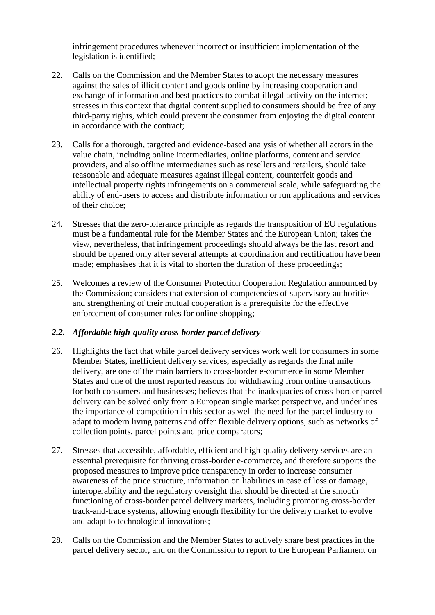infringement procedures whenever incorrect or insufficient implementation of the legislation is identified;

- 22. Calls on the Commission and the Member States to adopt the necessary measures against the sales of illicit content and goods online by increasing cooperation and exchange of information and best practices to combat illegal activity on the internet; stresses in this context that digital content supplied to consumers should be free of any third-party rights, which could prevent the consumer from enjoying the digital content in accordance with the contract;
- 23. Calls for a thorough, targeted and evidence-based analysis of whether all actors in the value chain, including online intermediaries, online platforms, content and service providers, and also offline intermediaries such as resellers and retailers, should take reasonable and adequate measures against illegal content, counterfeit goods and intellectual property rights infringements on a commercial scale, while safeguarding the ability of end-users to access and distribute information or run applications and services of their choice;
- 24. Stresses that the zero-tolerance principle as regards the transposition of EU regulations must be a fundamental rule for the Member States and the European Union; takes the view, nevertheless, that infringement proceedings should always be the last resort and should be opened only after several attempts at coordination and rectification have been made; emphasises that it is vital to shorten the duration of these proceedings;
- 25. Welcomes a review of the Consumer Protection Cooperation Regulation announced by the Commission; considers that extension of competencies of supervisory authorities and strengthening of their mutual cooperation is a prerequisite for the effective enforcement of consumer rules for online shopping;

## *2.2. Affordable high-quality cross-border parcel delivery*

- 26. Highlights the fact that while parcel delivery services work well for consumers in some Member States, inefficient delivery services, especially as regards the final mile delivery, are one of the main barriers to cross-border e-commerce in some Member States and one of the most reported reasons for withdrawing from online transactions for both consumers and businesses; believes that the inadequacies of cross-border parcel delivery can be solved only from a European single market perspective, and underlines the importance of competition in this sector as well the need for the parcel industry to adapt to modern living patterns and offer flexible delivery options, such as networks of collection points, parcel points and price comparators;
- 27. Stresses that accessible, affordable, efficient and high-quality delivery services are an essential prerequisite for thriving cross-border e-commerce, and therefore supports the proposed measures to improve price transparency in order to increase consumer awareness of the price structure, information on liabilities in case of loss or damage, interoperability and the regulatory oversight that should be directed at the smooth functioning of cross-border parcel delivery markets, including promoting cross-border track-and-trace systems, allowing enough flexibility for the delivery market to evolve and adapt to technological innovations;
- 28. Calls on the Commission and the Member States to actively share best practices in the parcel delivery sector, and on the Commission to report to the European Parliament on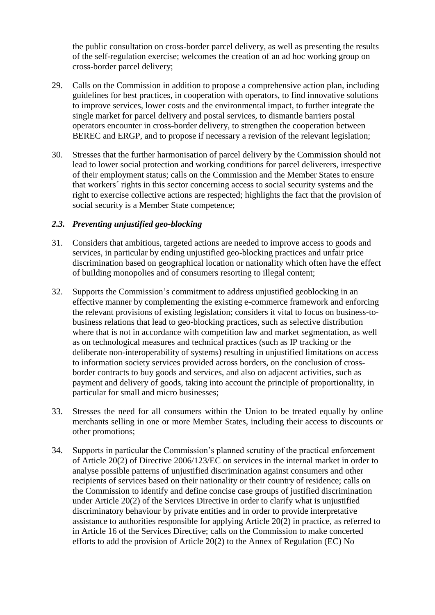the public consultation on cross-border parcel delivery, as well as presenting the results of the self-regulation exercise; welcomes the creation of an ad hoc working group on cross-border parcel delivery;

- 29. Calls on the Commission in addition to propose a comprehensive action plan, including guidelines for best practices, in cooperation with operators, to find innovative solutions to improve services, lower costs and the environmental impact, to further integrate the single market for parcel delivery and postal services, to dismantle barriers postal operators encounter in cross-border delivery, to strengthen the cooperation between BEREC and ERGP, and to propose if necessary a revision of the relevant legislation;
- 30. Stresses that the further harmonisation of parcel delivery by the Commission should not lead to lower social protection and working conditions for parcel deliverers, irrespective of their employment status; calls on the Commission and the Member States to ensure that workers´ rights in this sector concerning access to social security systems and the right to exercise collective actions are respected; highlights the fact that the provision of social security is a Member State competence;

#### *2.3. Preventing unjustified geo-blocking*

- 31. Considers that ambitious, targeted actions are needed to improve access to goods and services, in particular by ending unjustified geo-blocking practices and unfair price discrimination based on geographical location or nationality which often have the effect of building monopolies and of consumers resorting to illegal content;
- 32. Supports the Commission's commitment to address unjustified geoblocking in an effective manner by complementing the existing e-commerce framework and enforcing the relevant provisions of existing legislation; considers it vital to focus on business-tobusiness relations that lead to geo-blocking practices, such as selective distribution where that is not in accordance with competition law and market segmentation, as well as on technological measures and technical practices (such as IP tracking or the deliberate non-interoperability of systems) resulting in unjustified limitations on access to information society services provided across borders, on the conclusion of crossborder contracts to buy goods and services, and also on adjacent activities, such as payment and delivery of goods, taking into account the principle of proportionality, in particular for small and micro businesses;
- 33. Stresses the need for all consumers within the Union to be treated equally by online merchants selling in one or more Member States, including their access to discounts or other promotions;
- 34. Supports in particular the Commission's planned scrutiny of the practical enforcement of Article 20(2) of Directive 2006/123/EC on services in the internal market in order to analyse possible patterns of unjustified discrimination against consumers and other recipients of services based on their nationality or their country of residence; calls on the Commission to identify and define concise case groups of justified discrimination under Article 20(2) of the Services Directive in order to clarify what is unjustified discriminatory behaviour by private entities and in order to provide interpretative assistance to authorities responsible for applying Article 20(2) in practice, as referred to in Article 16 of the Services Directive; calls on the Commission to make concerted efforts to add the provision of Article 20(2) to the Annex of Regulation (EC) No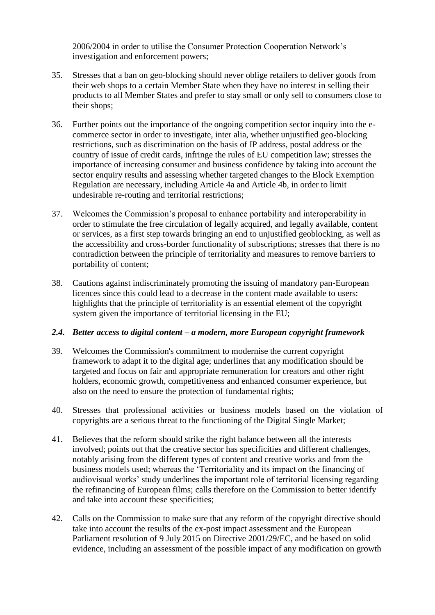2006/2004 in order to utilise the Consumer Protection Cooperation Network's investigation and enforcement powers;

- 35. Stresses that a ban on geo-blocking should never oblige retailers to deliver goods from their web shops to a certain Member State when they have no interest in selling their products to all Member States and prefer to stay small or only sell to consumers close to their shops;
- 36. Further points out the importance of the ongoing competition sector inquiry into the ecommerce sector in order to investigate, inter alia, whether unjustified geo-blocking restrictions, such as discrimination on the basis of IP address, postal address or the country of issue of credit cards, infringe the rules of EU competition law; stresses the importance of increasing consumer and business confidence by taking into account the sector enquiry results and assessing whether targeted changes to the Block Exemption Regulation are necessary, including Article 4a and Article 4b, in order to limit undesirable re-routing and territorial restrictions;
- 37. Welcomes the Commission's proposal to enhance portability and interoperability in order to stimulate the free circulation of legally acquired, and legally available, content or services, as a first step towards bringing an end to unjustified geoblocking, as well as the accessibility and cross-border functionality of subscriptions; stresses that there is no contradiction between the principle of territoriality and measures to remove barriers to portability of content;
- 38. Cautions against indiscriminately promoting the issuing of mandatory pan-European licences since this could lead to a decrease in the content made available to users: highlights that the principle of territoriality is an essential element of the copyright system given the importance of territorial licensing in the EU;

#### *2.4. Better access to digital content – a modern, more European copyright framework*

- 39. Welcomes the Commission's commitment to modernise the current copyright framework to adapt it to the digital age; underlines that any modification should be targeted and focus on fair and appropriate remuneration for creators and other right holders, economic growth, competitiveness and enhanced consumer experience, but also on the need to ensure the protection of fundamental rights;
- 40. Stresses that professional activities or business models based on the violation of copyrights are a serious threat to the functioning of the Digital Single Market;
- 41. Believes that the reform should strike the right balance between all the interests involved; points out that the creative sector has specificities and different challenges, notably arising from the different types of content and creative works and from the business models used; whereas the 'Territoriality and its impact on the financing of audiovisual works' study underlines the important role of territorial licensing regarding the refinancing of European films; calls therefore on the Commission to better identify and take into account these specificities;
- 42. Calls on the Commission to make sure that any reform of the copyright directive should take into account the results of the ex-post impact assessment and the European Parliament resolution of 9 July 2015 on Directive 2001/29/EC, and be based on solid evidence, including an assessment of the possible impact of any modification on growth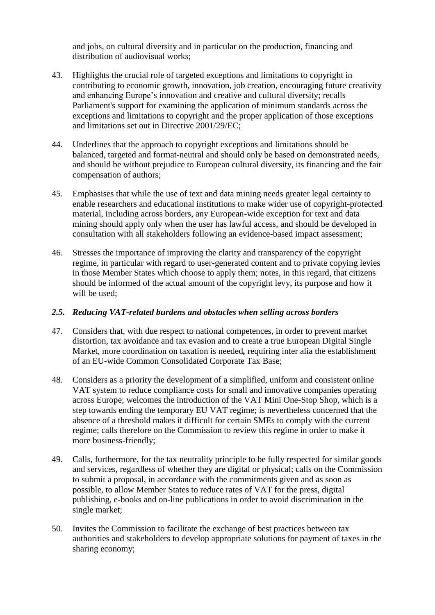and jobs, on cultural diversity and in particular on the production, financing and distribution of audiovisual works;

- 43. Highlights the crucial role of targeted exceptions and limitations to copyright in contributing to economic growth, innovation, job creation, encouraging future creativity and enhancing Europe's innovation and creative and cultural diversity; recalls Parliament's support for examining the application of minimum standards across the exceptions and limitations to copyright and the proper application of those exceptions and limitations set out in Directive 2001/29/EC;
- 44. Underlines that the approach to copyright exceptions and limitations should be balanced, targeted and format-neutral and should only be based on demonstrated needs, and should be without prejudice to European cultural diversity, its financing and the fair compensation of authors;
- 45. Emphasises that while the use of text and data mining needs greater legal certainty to enable researchers and educational institutions to make wider use of copyright-protected material, including across borders, any European-wide exception for text and data mining should apply only when the user has lawful access, and should be developed in consultation with all stakeholders following an evidence-based impact assessment;
- 46. Stresses the importance of improving the clarity and transparency of the copyright regime, in particular with regard to user-generated content and to private copying levies in those Member States which choose to apply them; notes, in this regard, that citizens should be informed of the actual amount of the copyright levy, its purpose and how it will be used;

#### *2.5. Reducing VAT-related burdens and obstacles when selling across borders*

- 47. Considers that, with due respect to national competences, in order to prevent market distortion, tax avoidance and tax evasion and to create a true European Digital Single Market, more coordination on taxation is needed*,* requiring inter alia the establishment of an EU-wide Common Consolidated Corporate Tax Base;
- 48. Considers as a priority the development of a simplified, uniform and consistent online VAT system to reduce compliance costs for small and innovative companies operating across Europe; welcomes the introduction of the VAT Mini One-Stop Shop, which is a step towards ending the temporary EU VAT regime; is nevertheless concerned that the absence of a threshold makes it difficult for certain SMEs to comply with the current regime; calls therefore on the Commission to review this regime in order to make it more business-friendly;
- 49. Calls, furthermore, for the tax neutrality principle to be fully respected for similar goods and services, regardless of whether they are digital or physical; calls on the Commission to submit a proposal, in accordance with the commitments given and as soon as possible, to allow Member States to reduce rates of VAT for the press, digital publishing, e-books and on-line publications in order to avoid discrimination in the single market;
- 50. Invites the Commission to facilitate the exchange of best practices between tax authorities and stakeholders to develop appropriate solutions for payment of taxes in the sharing economy;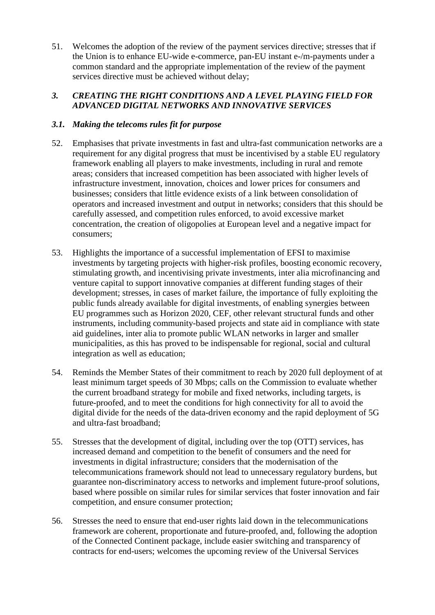51. Welcomes the adoption of the review of the payment services directive; stresses that if the Union is to enhance EU-wide e-commerce, pan-EU instant e-/m-payments under a common standard and the appropriate implementation of the review of the payment services directive must be achieved without delay;

## *3. CREATING THE RIGHT CONDITIONS AND A LEVEL PLAYING FIELD FOR ADVANCED DIGITAL NETWORKS AND INNOVATIVE SERVICES*

## *3.1. Making the telecoms rules fit for purpose*

- 52. Emphasises that private investments in fast and ultra-fast communication networks are a requirement for any digital progress that must be incentivised by a stable EU regulatory framework enabling all players to make investments, including in rural and remote areas; considers that increased competition has been associated with higher levels of infrastructure investment, innovation, choices and lower prices for consumers and businesses; considers that little evidence exists of a link between consolidation of operators and increased investment and output in networks; considers that this should be carefully assessed, and competition rules enforced, to avoid excessive market concentration, the creation of oligopolies at European level and a negative impact for consumers;
- 53. Highlights the importance of a successful implementation of EFSI to maximise investments by targeting projects with higher-risk profiles, boosting economic recovery, stimulating growth, and incentivising private investments, inter alia microfinancing and venture capital to support innovative companies at different funding stages of their development; stresses, in cases of market failure, the importance of fully exploiting the public funds already available for digital investments, of enabling synergies between EU programmes such as Horizon 2020, CEF, other relevant structural funds and other instruments, including community-based projects and state aid in compliance with state aid guidelines, inter alia to promote public WLAN networks in larger and smaller municipalities, as this has proved to be indispensable for regional, social and cultural integration as well as education;
- 54. Reminds the Member States of their commitment to reach by 2020 full deployment of at least minimum target speeds of 30 Mbps; calls on the Commission to evaluate whether the current broadband strategy for mobile and fixed networks, including targets, is future-proofed, and to meet the conditions for high connectivity for all to avoid the digital divide for the needs of the data-driven economy and the rapid deployment of 5G and ultra-fast broadband;
- 55. Stresses that the development of digital, including over the top (OTT) services, has increased demand and competition to the benefit of consumers and the need for investments in digital infrastructure; considers that the modernisation of the telecommunications framework should not lead to unnecessary regulatory burdens, but guarantee non-discriminatory access to networks and implement future-proof solutions, based where possible on similar rules for similar services that foster innovation and fair competition, and ensure consumer protection;
- 56. Stresses the need to ensure that end-user rights laid down in the telecommunications framework are coherent, proportionate and future-proofed, and, following the adoption of the Connected Continent package, include easier switching and transparency of contracts for end-users; welcomes the upcoming review of the Universal Services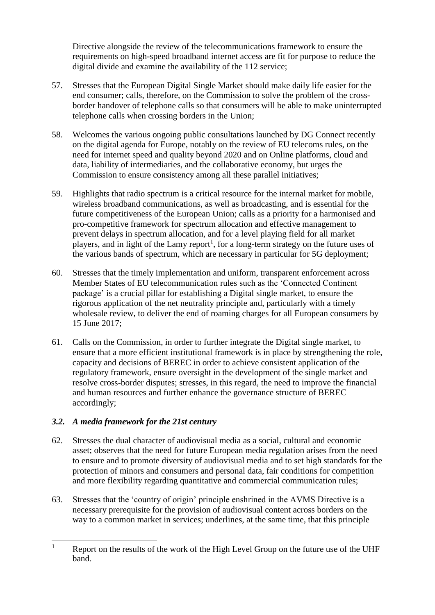Directive alongside the review of the telecommunications framework to ensure the requirements on high-speed broadband internet access are fit for purpose to reduce the digital divide and examine the availability of the 112 service;

- 57. Stresses that the European Digital Single Market should make daily life easier for the end consumer; calls, therefore, on the Commission to solve the problem of the crossborder handover of telephone calls so that consumers will be able to make uninterrupted telephone calls when crossing borders in the Union;
- 58. Welcomes the various ongoing public consultations launched by DG Connect recently on the digital agenda for Europe, notably on the review of EU telecoms rules, on the need for internet speed and quality beyond 2020 and on Online platforms, cloud and data, liability of intermediaries, and the collaborative economy, but urges the Commission to ensure consistency among all these parallel initiatives;
- 59. Highlights that radio spectrum is a critical resource for the internal market for mobile, wireless broadband communications, as well as broadcasting, and is essential for the future competitiveness of the European Union; calls as a priority for a harmonised and pro-competitive framework for spectrum allocation and effective management to prevent delays in spectrum allocation, and for a level playing field for all market players, and in light of the Lamy report<sup>1</sup>, for a long-term strategy on the future uses of the various bands of spectrum, which are necessary in particular for 5G deployment;
- 60. Stresses that the timely implementation and uniform, transparent enforcement across Member States of EU telecommunication rules such as the 'Connected Continent package' is a crucial pillar for establishing a Digital single market, to ensure the rigorous application of the net neutrality principle and, particularly with a timely wholesale review, to deliver the end of roaming charges for all European consumers by 15 June 2017;
- 61. Calls on the Commission, in order to further integrate the Digital single market, to ensure that a more efficient institutional framework is in place by strengthening the role, capacity and decisions of BEREC in order to achieve consistent application of the regulatory framework, ensure oversight in the development of the single market and resolve cross-border disputes; stresses, in this regard, the need to improve the financial and human resources and further enhance the governance structure of BEREC accordingly;

## *3.2. A media framework for the 21st century*

- 62. Stresses the dual character of audiovisual media as a social, cultural and economic asset; observes that the need for future European media regulation arises from the need to ensure and to promote diversity of audiovisual media and to set high standards for the protection of minors and consumers and personal data, fair conditions for competition and more flexibility regarding quantitative and commercial communication rules;
- 63. Stresses that the 'country of origin' principle enshrined in the AVMS Directive is a necessary prerequisite for the provision of audiovisual content across borders on the way to a common market in services; underlines, at the same time, that this principle

 $\mathbf{1}$ Report on the results of the work of the High Level Group on the future use of the UHF band.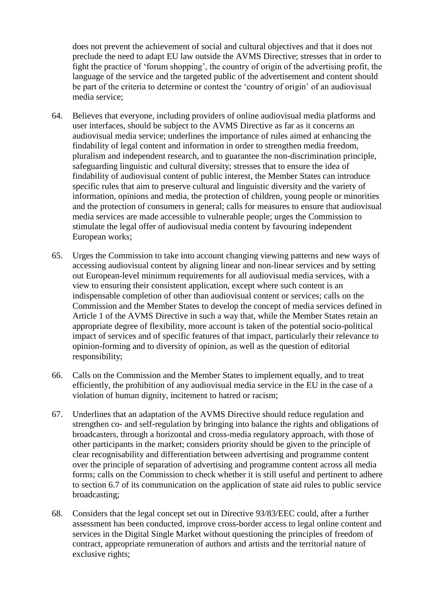does not prevent the achievement of social and cultural objectives and that it does not preclude the need to adapt EU law outside the AVMS Directive; stresses that in order to fight the practice of 'forum shopping', the country of origin of the advertising profit, the language of the service and the targeted public of the advertisement and content should be part of the criteria to determine or contest the 'country of origin' of an audiovisual media service;

- 64. Believes that everyone, including providers of online audiovisual media platforms and user interfaces, should be subject to the AVMS Directive as far as it concerns an audiovisual media service; underlines the importance of rules aimed at enhancing the findability of legal content and information in order to strengthen media freedom, pluralism and independent research, and to guarantee the non-discrimination principle, safeguarding linguistic and cultural diversity; stresses that to ensure the idea of findability of audiovisual content of public interest, the Member States can introduce specific rules that aim to preserve cultural and linguistic diversity and the variety of information, opinions and media, the protection of children, young people or minorities and the protection of consumers in general; calls for measures to ensure that audiovisual media services are made accessible to vulnerable people; urges the Commission to stimulate the legal offer of audiovisual media content by favouring independent European works;
- 65. Urges the Commission to take into account changing viewing patterns and new ways of accessing audiovisual content by aligning linear and non-linear services and by setting out European-level minimum requirements for all audiovisual media services, with a view to ensuring their consistent application, except where such content is an indispensable completion of other than audiovisual content or services; calls on the Commission and the Member States to develop the concept of media services defined in Article 1 of the AVMS Directive in such a way that, while the Member States retain an appropriate degree of flexibility, more account is taken of the potential socio-political impact of services and of specific features of that impact, particularly their relevance to opinion-forming and to diversity of opinion, as well as the question of editorial responsibility;
- 66. Calls on the Commission and the Member States to implement equally, and to treat efficiently, the prohibition of any audiovisual media service in the EU in the case of a violation of human dignity, incitement to hatred or racism;
- 67. Underlines that an adaptation of the AVMS Directive should reduce regulation and strengthen co- and self-regulation by bringing into balance the rights and obligations of broadcasters, through a horizontal and cross-media regulatory approach, with those of other participants in the market; considers priority should be given to the principle of clear recognisability and differentiation between advertising and programme content over the principle of separation of advertising and programme content across all media forms; calls on the Commission to check whether it is still useful and pertinent to adhere to section 6.7 of its communication on the application of state aid rules to public service broadcasting;
- 68. Considers that the legal concept set out in Directive 93/83/EEC could, after a further assessment has been conducted, improve cross-border access to legal online content and services in the Digital Single Market without questioning the principles of freedom of contract, appropriate remuneration of authors and artists and the territorial nature of exclusive rights;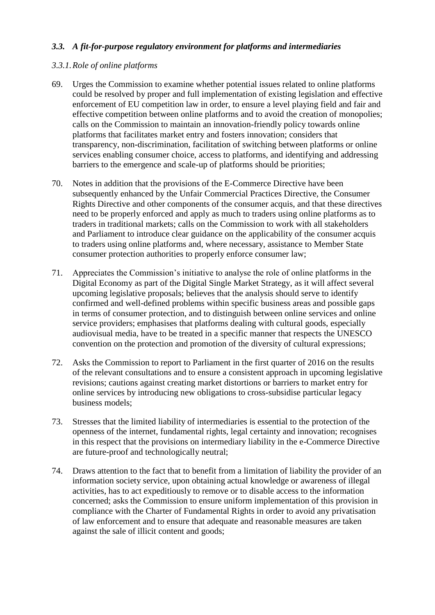## *3.3. A fit-for-purpose regulatory environment for platforms and intermediaries*

## *3.3.1.Role of online platforms*

- 69. Urges the Commission to examine whether potential issues related to online platforms could be resolved by proper and full implementation of existing legislation and effective enforcement of EU competition law in order, to ensure a level playing field and fair and effective competition between online platforms and to avoid the creation of monopolies; calls on the Commission to maintain an innovation-friendly policy towards online platforms that facilitates market entry and fosters innovation; considers that transparency, non-discrimination, facilitation of switching between platforms or online services enabling consumer choice, access to platforms, and identifying and addressing barriers to the emergence and scale-up of platforms should be priorities;
- 70. Notes in addition that the provisions of the E-Commerce Directive have been subsequently enhanced by the Unfair Commercial Practices Directive, the Consumer Rights Directive and other components of the consumer acquis, and that these directives need to be properly enforced and apply as much to traders using online platforms as to traders in traditional markets; calls on the Commission to work with all stakeholders and Parliament to introduce clear guidance on the applicability of the consumer acquis to traders using online platforms and, where necessary, assistance to Member State consumer protection authorities to properly enforce consumer law;
- 71. Appreciates the Commission's initiative to analyse the role of online platforms in the Digital Economy as part of the Digital Single Market Strategy, as it will affect several upcoming legislative proposals; believes that the analysis should serve to identify confirmed and well-defined problems within specific business areas and possible gaps in terms of consumer protection, and to distinguish between online services and online service providers; emphasises that platforms dealing with cultural goods, especially audiovisual media, have to be treated in a specific manner that respects the UNESCO convention on the protection and promotion of the diversity of cultural expressions;
- 72. Asks the Commission to report to Parliament in the first quarter of 2016 on the results of the relevant consultations and to ensure a consistent approach in upcoming legislative revisions; cautions against creating market distortions or barriers to market entry for online services by introducing new obligations to cross-subsidise particular legacy business models;
- 73. Stresses that the limited liability of intermediaries is essential to the protection of the openness of the internet, fundamental rights, legal certainty and innovation; recognises in this respect that the provisions on intermediary liability in the e-Commerce Directive are future-proof and technologically neutral;
- 74. Draws attention to the fact that to benefit from a limitation of liability the provider of an information society service, upon obtaining actual knowledge or awareness of illegal activities, has to act expeditiously to remove or to disable access to the information concerned; asks the Commission to ensure uniform implementation of this provision in compliance with the Charter of Fundamental Rights in order to avoid any privatisation of law enforcement and to ensure that adequate and reasonable measures are taken against the sale of illicit content and goods;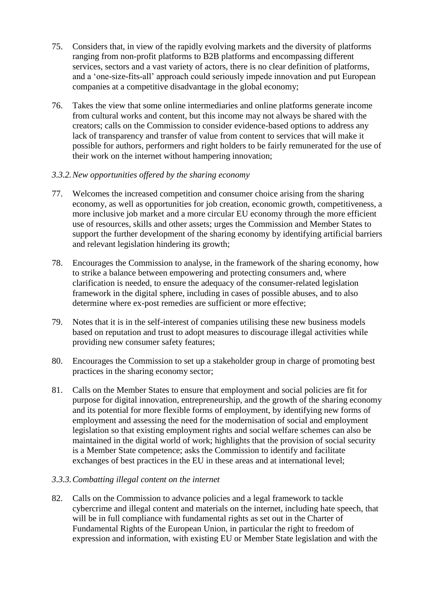- 75. Considers that, in view of the rapidly evolving markets and the diversity of platforms ranging from non-profit platforms to B2B platforms and encompassing different services, sectors and a vast variety of actors, there is no clear definition of platforms, and a 'one-size-fits-all' approach could seriously impede innovation and put European companies at a competitive disadvantage in the global economy;
- 76. Takes the view that some online intermediaries and online platforms generate income from cultural works and content, but this income may not always be shared with the creators; calls on the Commission to consider evidence-based options to address any lack of transparency and transfer of value from content to services that will make it possible for authors, performers and right holders to be fairly remunerated for the use of their work on the internet without hampering innovation;
- *3.3.2.New opportunities offered by the sharing economy*
- 77. Welcomes the increased competition and consumer choice arising from the sharing economy, as well as opportunities for job creation, economic growth, competitiveness, a more inclusive job market and a more circular EU economy through the more efficient use of resources, skills and other assets; urges the Commission and Member States to support the further development of the sharing economy by identifying artificial barriers and relevant legislation hindering its growth;
- 78. Encourages the Commission to analyse, in the framework of the sharing economy, how to strike a balance between empowering and protecting consumers and, where clarification is needed, to ensure the adequacy of the consumer-related legislation framework in the digital sphere, including in cases of possible abuses, and to also determine where ex-post remedies are sufficient or more effective;
- 79. Notes that it is in the self-interest of companies utilising these new business models based on reputation and trust to adopt measures to discourage illegal activities while providing new consumer safety features;
- 80. Encourages the Commission to set up a stakeholder group in charge of promoting best practices in the sharing economy sector;
- 81. Calls on the Member States to ensure that employment and social policies are fit for purpose for digital innovation, entrepreneurship, and the growth of the sharing economy and its potential for more flexible forms of employment, by identifying new forms of employment and assessing the need for the modernisation of social and employment legislation so that existing employment rights and social welfare schemes can also be maintained in the digital world of work; highlights that the provision of social security is a Member State competence; asks the Commission to identify and facilitate exchanges of best practices in the EU in these areas and at international level;

## *3.3.3.Combatting illegal content on the internet*

82. Calls on the Commission to advance policies and a legal framework to tackle cybercrime and illegal content and materials on the internet, including hate speech, that will be in full compliance with fundamental rights as set out in the Charter of Fundamental Rights of the European Union, in particular the right to freedom of expression and information, with existing EU or Member State legislation and with the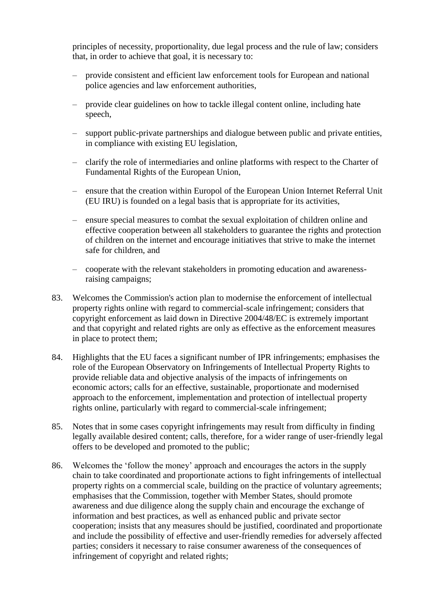principles of necessity, proportionality, due legal process and the rule of law; considers that, in order to achieve that goal, it is necessary to:

- provide consistent and efficient law enforcement tools for European and national police agencies and law enforcement authorities,
- provide clear guidelines on how to tackle illegal content online, including hate speech,
- support public-private partnerships and dialogue between public and private entities, in compliance with existing EU legislation,
- clarify the role of intermediaries and online platforms with respect to the Charter of Fundamental Rights of the European Union,
- ensure that the creation within Europol of the European Union Internet Referral Unit (EU IRU) is founded on a legal basis that is appropriate for its activities,
- ensure special measures to combat the sexual exploitation of children online and effective cooperation between all stakeholders to guarantee the rights and protection of children on the internet and encourage initiatives that strive to make the internet safe for children, and
- cooperate with the relevant stakeholders in promoting education and awarenessraising campaigns;
- 83. Welcomes the Commission's action plan to modernise the enforcement of intellectual property rights online with regard to commercial-scale infringement; considers that copyright enforcement as laid down in Directive 2004/48/EC is extremely important and that copyright and related rights are only as effective as the enforcement measures in place to protect them;
- 84. Highlights that the EU faces a significant number of IPR infringements; emphasises the role of the European Observatory on Infringements of Intellectual Property Rights to provide reliable data and objective analysis of the impacts of infringements on economic actors; calls for an effective, sustainable, proportionate and modernised approach to the enforcement, implementation and protection of intellectual property rights online, particularly with regard to commercial-scale infringement;
- 85. Notes that in some cases copyright infringements may result from difficulty in finding legally available desired content; calls, therefore, for a wider range of user-friendly legal offers to be developed and promoted to the public;
- 86. Welcomes the 'follow the money' approach and encourages the actors in the supply chain to take coordinated and proportionate actions to fight infringements of intellectual property rights on a commercial scale, building on the practice of voluntary agreements; emphasises that the Commission, together with Member States, should promote awareness and due diligence along the supply chain and encourage the exchange of information and best practices, as well as enhanced public and private sector cooperation; insists that any measures should be justified, coordinated and proportionate and include the possibility of effective and user-friendly remedies for adversely affected parties; considers it necessary to raise consumer awareness of the consequences of infringement of copyright and related rights;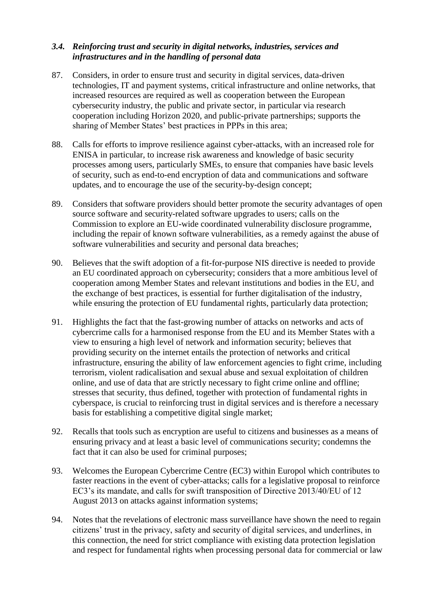## *3.4. Reinforcing trust and security in digital networks, industries, services and infrastructures and in the handling of personal data*

- 87. Considers, in order to ensure trust and security in digital services, data-driven technologies, IT and payment systems, critical infrastructure and online networks, that increased resources are required as well as cooperation between the European cybersecurity industry, the public and private sector, in particular via research cooperation including Horizon 2020, and public-private partnerships; supports the sharing of Member States' best practices in PPPs in this area;
- 88. Calls for efforts to improve resilience against cyber-attacks, with an increased role for ENISA in particular, to increase risk awareness and knowledge of basic security processes among users, particularly SMEs, to ensure that companies have basic levels of security, such as end-to-end encryption of data and communications and software updates, and to encourage the use of the security-by-design concept;
- 89. Considers that software providers should better promote the security advantages of open source software and security-related software upgrades to users; calls on the Commission to explore an EU-wide coordinated vulnerability disclosure programme, including the repair of known software vulnerabilities, as a remedy against the abuse of software vulnerabilities and security and personal data breaches;
- 90. Believes that the swift adoption of a fit-for-purpose NIS directive is needed to provide an EU coordinated approach on cybersecurity; considers that a more ambitious level of cooperation among Member States and relevant institutions and bodies in the EU, and the exchange of best practices, is essential for further digitalisation of the industry, while ensuring the protection of EU fundamental rights, particularly data protection;
- 91. Highlights the fact that the fast-growing number of attacks on networks and acts of cybercrime calls for a harmonised response from the EU and its Member States with a view to ensuring a high level of network and information security; believes that providing security on the internet entails the protection of networks and critical infrastructure, ensuring the ability of law enforcement agencies to fight crime, including terrorism, violent radicalisation and sexual abuse and sexual exploitation of children online, and use of data that are strictly necessary to fight crime online and offline; stresses that security, thus defined, together with protection of fundamental rights in cyberspace, is crucial to reinforcing trust in digital services and is therefore a necessary basis for establishing a competitive digital single market;
- 92. Recalls that tools such as encryption are useful to citizens and businesses as a means of ensuring privacy and at least a basic level of communications security; condemns the fact that it can also be used for criminal purposes;
- 93. Welcomes the European Cybercrime Centre (EC3) within Europol which contributes to faster reactions in the event of cyber-attacks; calls for a legislative proposal to reinforce EC3's its mandate, and calls for swift transposition of Directive 2013/40/EU of 12 August 2013 on attacks against information systems;
- 94. Notes that the revelations of electronic mass surveillance have shown the need to regain citizens' trust in the privacy, safety and security of digital services, and underlines, in this connection, the need for strict compliance with existing data protection legislation and respect for fundamental rights when processing personal data for commercial or law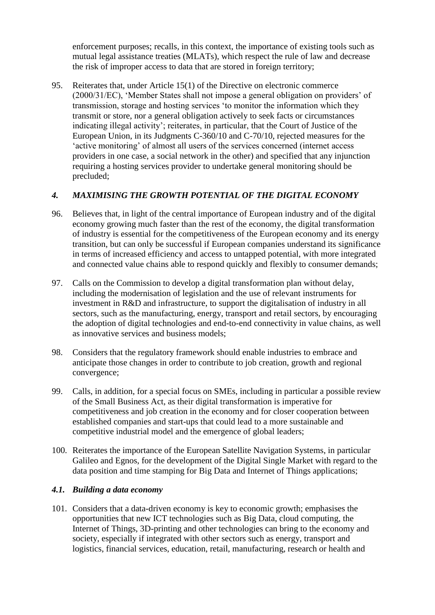enforcement purposes; recalls, in this context, the importance of existing tools such as mutual legal assistance treaties (MLATs), which respect the rule of law and decrease the risk of improper access to data that are stored in foreign territory;

95. Reiterates that, under Article 15(1) of the Directive on electronic commerce (2000/31/EC), 'Member States shall not impose a general obligation on providers' of transmission, storage and hosting services 'to monitor the information which they transmit or store, nor a general obligation actively to seek facts or circumstances indicating illegal activity'; reiterates, in particular, that the Court of Justice of the European Union, in its Judgments C-360/10 and C-70/10, rejected measures for the 'active monitoring' of almost all users of the services concerned (internet access providers in one case, a social network in the other) and specified that any injunction requiring a hosting services provider to undertake general monitoring should be precluded;

## *4. MAXIMISING THE GROWTH POTENTIAL OF THE DIGITAL ECONOMY*

- 96. Believes that, in light of the central importance of European industry and of the digital economy growing much faster than the rest of the economy, the digital transformation of industry is essential for the competitiveness of the European economy and its energy transition, but can only be successful if European companies understand its significance in terms of increased efficiency and access to untapped potential, with more integrated and connected value chains able to respond quickly and flexibly to consumer demands;
- 97. Calls on the Commission to develop a digital transformation plan without delay, including the modernisation of legislation and the use of relevant instruments for investment in R&D and infrastructure, to support the digitalisation of industry in all sectors, such as the manufacturing, energy, transport and retail sectors, by encouraging the adoption of digital technologies and end-to-end connectivity in value chains, as well as innovative services and business models;
- 98. Considers that the regulatory framework should enable industries to embrace and anticipate those changes in order to contribute to job creation, growth and regional convergence;
- 99. Calls, in addition, for a special focus on SMEs, including in particular a possible review of the Small Business Act, as their digital transformation is imperative for competitiveness and job creation in the economy and for closer cooperation between established companies and start-ups that could lead to a more sustainable and competitive industrial model and the emergence of global leaders;
- 100. Reiterates the importance of the European Satellite Navigation Systems, in particular Galileo and Egnos, for the development of the Digital Single Market with regard to the data position and time stamping for Big Data and Internet of Things applications;

#### *4.1. Building a data economy*

101. Considers that a data-driven economy is key to economic growth; emphasises the opportunities that new ICT technologies such as Big Data, cloud computing, the Internet of Things, 3D-printing and other technologies can bring to the economy and society, especially if integrated with other sectors such as energy, transport and logistics, financial services, education, retail, manufacturing, research or health and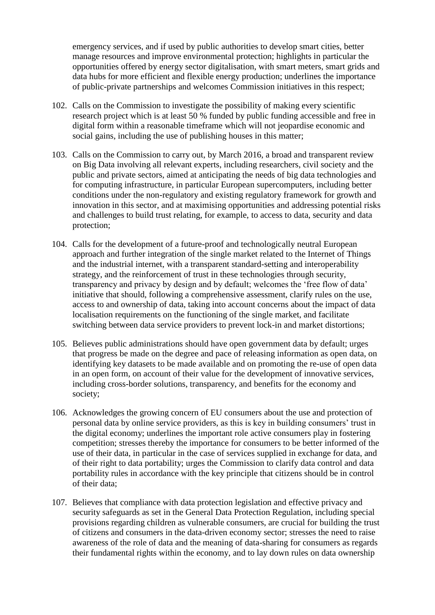emergency services, and if used by public authorities to develop smart cities, better manage resources and improve environmental protection; highlights in particular the opportunities offered by energy sector digitalisation, with smart meters, smart grids and data hubs for more efficient and flexible energy production; underlines the importance of public-private partnerships and welcomes Commission initiatives in this respect;

- 102. Calls on the Commission to investigate the possibility of making every scientific research project which is at least 50 % funded by public funding accessible and free in digital form within a reasonable timeframe which will not jeopardise economic and social gains, including the use of publishing houses in this matter;
- 103. Calls on the Commission to carry out, by March 2016, a broad and transparent review on Big Data involving all relevant experts, including researchers, civil society and the public and private sectors, aimed at anticipating the needs of big data technologies and for computing infrastructure, in particular European supercomputers, including better conditions under the non-regulatory and existing regulatory framework for growth and innovation in this sector, and at maximising opportunities and addressing potential risks and challenges to build trust relating, for example, to access to data, security and data protection;
- 104. Calls for the development of a future-proof and technologically neutral European approach and further integration of the single market related to the Internet of Things and the industrial internet, with a transparent standard-setting and interoperability strategy, and the reinforcement of trust in these technologies through security, transparency and privacy by design and by default; welcomes the 'free flow of data' initiative that should, following a comprehensive assessment, clarify rules on the use, access to and ownership of data, taking into account concerns about the impact of data localisation requirements on the functioning of the single market, and facilitate switching between data service providers to prevent lock-in and market distortions;
- 105. Believes public administrations should have open government data by default; urges that progress be made on the degree and pace of releasing information as open data, on identifying key datasets to be made available and on promoting the re-use of open data in an open form, on account of their value for the development of innovative services, including cross-border solutions, transparency, and benefits for the economy and society;
- 106. Acknowledges the growing concern of EU consumers about the use and protection of personal data by online service providers, as this is key in building consumers' trust in the digital economy; underlines the important role active consumers play in fostering competition; stresses thereby the importance for consumers to be better informed of the use of their data, in particular in the case of services supplied in exchange for data, and of their right to data portability; urges the Commission to clarify data control and data portability rules in accordance with the key principle that citizens should be in control of their data;
- 107. Believes that compliance with data protection legislation and effective privacy and security safeguards as set in the General Data Protection Regulation, including special provisions regarding children as vulnerable consumers, are crucial for building the trust of citizens and consumers in the data-driven economy sector; stresses the need to raise awareness of the role of data and the meaning of data-sharing for consumers as regards their fundamental rights within the economy, and to lay down rules on data ownership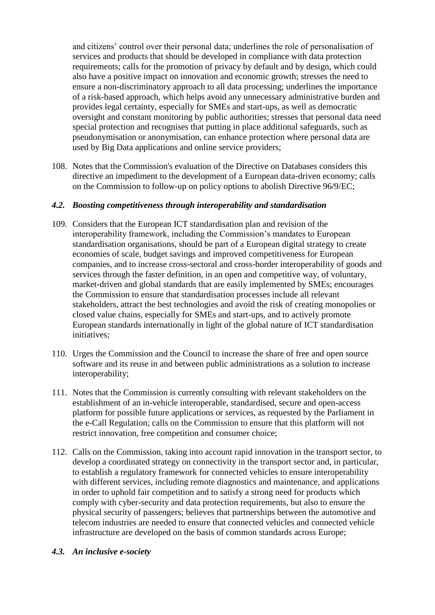and citizens' control over their personal data; underlines the role of personalisation of services and products that should be developed in compliance with data protection requirements; calls for the promotion of privacy by default and by design, which could also have a positive impact on innovation and economic growth; stresses the need to ensure a non-discriminatory approach to all data processing; underlines the importance of a risk-based approach, which helps avoid any unnecessary administrative burden and provides legal certainty, especially for SMEs and start-ups, as well as democratic oversight and constant monitoring by public authorities; stresses that personal data need special protection and recognises that putting in place additional safeguards, such as pseudonymisation or anonymisation, can enhance protection where personal data are used by Big Data applications and online service providers;

108. Notes that the Commission's evaluation of the Directive on Databases considers this directive an impediment to the development of a European data-driven economy; calls on the Commission to follow-up on policy options to abolish Directive 96/9/EC;

#### *4.2. Boosting competitiveness through interoperability and standardisation*

- 109. Considers that the European ICT standardisation plan and revision of the interoperability framework, including the Commission's mandates to European standardisation organisations, should be part of a European digital strategy to create economies of scale, budget savings and improved competitiveness for European companies, and to increase cross-sectoral and cross-border interoperability of goods and services through the faster definition, in an open and competitive way, of voluntary, market-driven and global standards that are easily implemented by SMEs; encourages the Commission to ensure that standardisation processes include all relevant stakeholders, attract the best technologies and avoid the risk of creating monopolies or closed value chains, especially for SMEs and start-ups, and to actively promote European standards internationally in light of the global nature of ICT standardisation initiatives;
- 110. Urges the Commission and the Council to increase the share of free and open source software and its reuse in and between public administrations as a solution to increase interoperability;
- 111. Notes that the Commission is currently consulting with relevant stakeholders on the establishment of an in-vehicle interoperable, standardised, secure and open-access platform for possible future applications or services, as requested by the Parliament in the e-Call Regulation; calls on the Commission to ensure that this platform will not restrict innovation, free competition and consumer choice;
- 112. Calls on the Commission, taking into account rapid innovation in the transport sector, to develop a coordinated strategy on connectivity in the transport sector and, in particular, to establish a regulatory framework for connected vehicles to ensure interoperability with different services, including remote diagnostics and maintenance, and applications in order to uphold fair competition and to satisfy a strong need for products which comply with cyber-security and data protection requirements, but also to ensure the physical security of passengers; believes that partnerships between the automotive and telecom industries are needed to ensure that connected vehicles and connected vehicle infrastructure are developed on the basis of common standards across Europe;

#### *4.3. An inclusive e-society*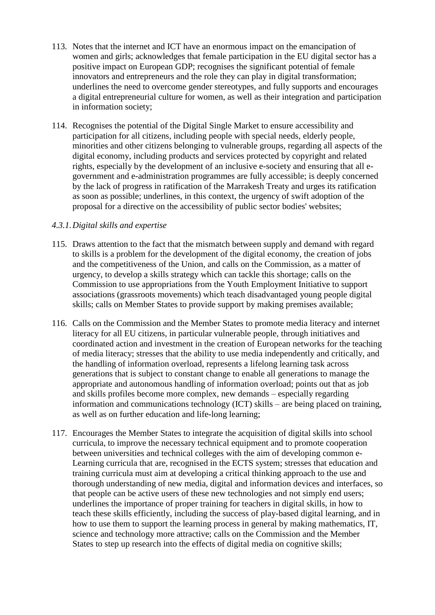- 113. Notes that the internet and ICT have an enormous impact on the emancipation of women and girls; acknowledges that female participation in the EU digital sector has a positive impact on European GDP; recognises the significant potential of female innovators and entrepreneurs and the role they can play in digital transformation; underlines the need to overcome gender stereotypes, and fully supports and encourages a digital entrepreneurial culture for women, as well as their integration and participation in information society;
- 114. Recognises the potential of the Digital Single Market to ensure accessibility and participation for all citizens, including people with special needs, elderly people, minorities and other citizens belonging to vulnerable groups, regarding all aspects of the digital economy, including products and services protected by copyright and related rights, especially by the development of an inclusive e-society and ensuring that all egovernment and e-administration programmes are fully accessible; is deeply concerned by the lack of progress in ratification of the Marrakesh Treaty and urges its ratification as soon as possible; underlines, in this context, the urgency of swift adoption of the proposal for a directive on the accessibility of public sector bodies' websites;

#### *4.3.1.Digital skills and expertise*

- 115. Draws attention to the fact that the mismatch between supply and demand with regard to skills is a problem for the development of the digital economy, the creation of jobs and the competitiveness of the Union, and calls on the Commission, as a matter of urgency, to develop a skills strategy which can tackle this shortage; calls on the Commission to use appropriations from the Youth Employment Initiative to support associations (grassroots movements) which teach disadvantaged young people digital skills; calls on Member States to provide support by making premises available;
- 116. Calls on the Commission and the Member States to promote media literacy and internet literacy for all EU citizens, in particular vulnerable people, through initiatives and coordinated action and investment in the creation of European networks for the teaching of media literacy; stresses that the ability to use media independently and critically, and the handling of information overload, represents a lifelong learning task across generations that is subject to constant change to enable all generations to manage the appropriate and autonomous handling of information overload; points out that as job and skills profiles become more complex, new demands – especially regarding information and communications technology (ICT) skills – are being placed on training, as well as on further education and life-long learning;
- 117. Encourages the Member States to integrate the acquisition of digital skills into school curricula, to improve the necessary technical equipment and to promote cooperation between universities and technical colleges with the aim of developing common e-Learning curricula that are, recognised in the ECTS system; stresses that education and training curricula must aim at developing a critical thinking approach to the use and thorough understanding of new media, digital and information devices and interfaces, so that people can be active users of these new technologies and not simply end users; underlines the importance of proper training for teachers in digital skills, in how to teach these skills efficiently, including the success of play-based digital learning, and in how to use them to support the learning process in general by making mathematics, IT, science and technology more attractive; calls on the Commission and the Member States to step up research into the effects of digital media on cognitive skills;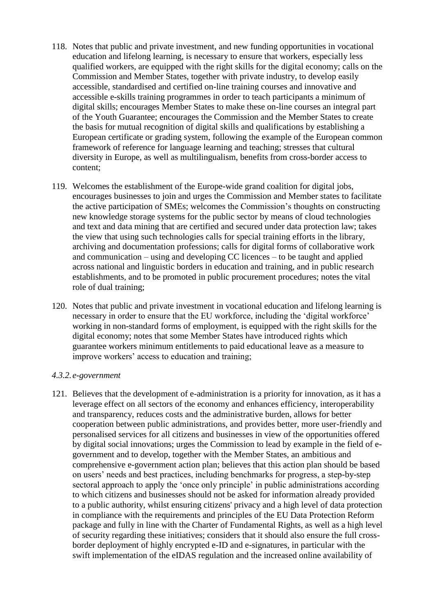- 118. Notes that public and private investment, and new funding opportunities in vocational education and lifelong learning, is necessary to ensure that workers, especially less qualified workers, are equipped with the right skills for the digital economy; calls on the Commission and Member States, together with private industry, to develop easily accessible, standardised and certified on-line training courses and innovative and accessible e-skills training programmes in order to teach participants a minimum of digital skills; encourages Member States to make these on-line courses an integral part of the Youth Guarantee; encourages the Commission and the Member States to create the basis for mutual recognition of digital skills and qualifications by establishing a European certificate or grading system, following the example of the European common framework of reference for language learning and teaching; stresses that cultural diversity in Europe, as well as multilingualism, benefits from cross-border access to content;
- 119. Welcomes the establishment of the Europe-wide grand coalition for digital jobs, encourages businesses to join and urges the Commission and Member states to facilitate the active participation of SMEs; welcomes the Commission's thoughts on constructing new knowledge storage systems for the public sector by means of cloud technologies and text and data mining that are certified and secured under data protection law; takes the view that using such technologies calls for special training efforts in the library, archiving and documentation professions; calls for digital forms of collaborative work and communication – using and developing CC licences – to be taught and applied across national and linguistic borders in education and training, and in public research establishments, and to be promoted in public procurement procedures; notes the vital role of dual training;
- 120. Notes that public and private investment in vocational education and lifelong learning is necessary in order to ensure that the EU workforce, including the 'digital workforce' working in non-standard forms of employment, is equipped with the right skills for the digital economy; notes that some Member States have introduced rights which guarantee workers minimum entitlements to paid educational leave as a measure to improve workers' access to education and training;

#### *4.3.2.e-government*

121. Believes that the development of e-administration is a priority for innovation, as it has a leverage effect on all sectors of the economy and enhances efficiency, interoperability and transparency, reduces costs and the administrative burden, allows for better cooperation between public administrations, and provides better, more user-friendly and personalised services for all citizens and businesses in view of the opportunities offered by digital social innovations; urges the Commission to lead by example in the field of egovernment and to develop, together with the Member States, an ambitious and comprehensive e-government action plan; believes that this action plan should be based on users' needs and best practices, including benchmarks for progress, a step-by-step sectoral approach to apply the 'once only principle' in public administrations according to which citizens and businesses should not be asked for information already provided to a public authority, whilst ensuring citizens' privacy and a high level of data protection in compliance with the requirements and principles of the EU Data Protection Reform package and fully in line with the Charter of Fundamental Rights, as well as a high level of security regarding these initiatives; considers that it should also ensure the full crossborder deployment of highly encrypted e-ID and e-signatures, in particular with the swift implementation of the eIDAS regulation and the increased online availability of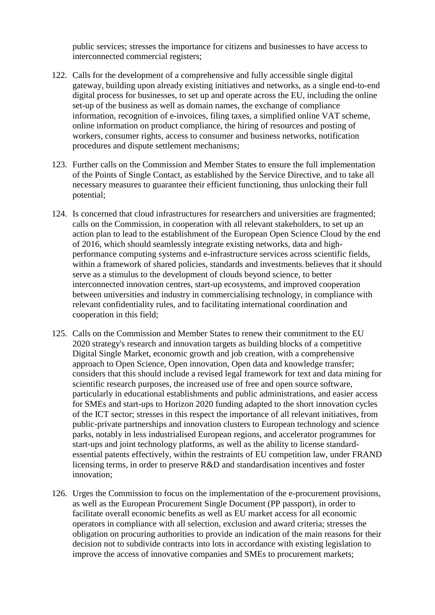public services; stresses the importance for citizens and businesses to have access to interconnected commercial registers;

- 122. Calls for the development of a comprehensive and fully accessible single digital gateway, building upon already existing initiatives and networks, as a single end-to-end digital process for businesses, to set up and operate across the EU, including the online set-up of the business as well as domain names, the exchange of compliance information, recognition of e-invoices, filing taxes, a simplified online VAT scheme, online information on product compliance, the hiring of resources and posting of workers, consumer rights, access to consumer and business networks, notification procedures and dispute settlement mechanisms;
- 123. Further calls on the Commission and Member States to ensure the full implementation of the Points of Single Contact, as established by the Service Directive, and to take all necessary measures to guarantee their efficient functioning, thus unlocking their full potential;
- 124. Is concerned that cloud infrastructures for researchers and universities are fragmented; calls on the Commission, in cooperation with all relevant stakeholders, to set up an action plan to lead to the establishment of the European Open Science Cloud by the end of 2016, which should seamlessly integrate existing networks, data and highperformance computing systems and e-infrastructure services across scientific fields, within a framework of shared policies, standards and investments; believes that it should serve as a stimulus to the development of clouds beyond science, to better interconnected innovation centres, start-up ecosystems, and improved cooperation between universities and industry in commercialising technology, in compliance with relevant confidentiality rules, and to facilitating international coordination and cooperation in this field;
- 125. Calls on the Commission and Member States to renew their commitment to the EU 2020 strategy's research and innovation targets as building blocks of a competitive Digital Single Market, economic growth and job creation, with a comprehensive approach to Open Science, Open innovation, Open data and knowledge transfer; considers that this should include a revised legal framework for text and data mining for scientific research purposes, the increased use of free and open source software, particularly in educational establishments and public administrations, and easier access for SMEs and start-ups to Horizon 2020 funding adapted to the short innovation cycles of the ICT sector; stresses in this respect the importance of all relevant initiatives, from public-private partnerships and innovation clusters to European technology and science parks, notably in less industrialised European regions, and accelerator programmes for start-ups and joint technology platforms, as well as the ability to license standardessential patents effectively, within the restraints of EU competition law, under FRAND licensing terms, in order to preserve R&D and standardisation incentives and foster innovation;
- 126. Urges the Commission to focus on the implementation of the e-procurement provisions, as well as the European Procurement Single Document (PP passport), in order to facilitate overall economic benefits as well as EU market access for all economic operators in compliance with all selection, exclusion and award criteria; stresses the obligation on procuring authorities to provide an indication of the main reasons for their decision not to subdivide contracts into lots in accordance with existing legislation to improve the access of innovative companies and SMEs to procurement markets;